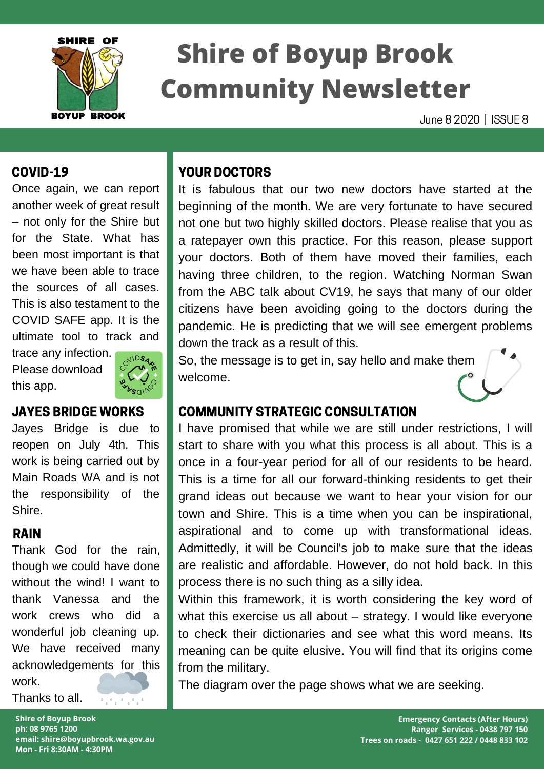

# **Shire of Boyup Brook Community Newsletter**

June 8 2020 | ISSUE 8

#### COVID-19

Once again, we can report another week of great result – not only for the Shire but for the State. What has been most important is that we have been able to trace the sources of all cases. This is also testament to the COVID SAFE app. It is the ultimate tool to track and

trace any infection. Please download this app.



### JAYES BRIDGE WORKS

Jayes Bridge is due to reopen on July 4th. This work is being carried out by Main Roads WA and is not the responsibility of the Shire.

### RAIN

Thank God for the rain, though we could have done without the wind! I want to thank Vanessa and the work crews who did a wonderful job cleaning up. We have received many acknowledgements for this work.

Thanks to all.

**Shire of Boyup Brook ph: 08 9765 1200 email: shire@boyupbrook.wa.gov.au Mon - Fri 8:30AM - 4:30PM**

 $\mathcal{F}_{\mathcal{A}}$  ,  $\mathcal{F}_{\mathcal{A}}$  ,  $\mathcal{F}_{\mathcal{A}}$  ,  $\mathcal{F}_{\mathcal{A}}$ 

### YOUR DOCTORS

It is fabulous that our two new doctors have started at the beginning of the month. We are very fortunate to have secured not one but two highly skilled doctors. Please realise that you as a ratepayer own this practice. For this reason, please support your doctors. Both of them have moved their families, each having three children, to the region. Watching Norman Swan from the ABC talk about CV19, he says that many of our older citizens have been avoiding going to the doctors during the pandemic. He is predicting that we will see emergent problems down the track as a result of this.

So, the message is to get in, say hello and make them welcome.

### COMMUNITY STRATEGIC CONSULTATION

I have promised that while we are still under restrictions, I will start to share with you what this process is all about. This is a once in a four-year period for all of our residents to be heard. This is a time for all our forward-thinking residents to get their grand ideas out because we want to hear your vision for our town and Shire. This is a time when you can be inspirational, aspirational and to come up with transformational ideas. Admittedly, it will be Council's job to make sure that the ideas are realistic and affordable. However, do not hold back. In this process there is no such thing as a silly idea.

Within this framework, it is worth considering the key word of what this exercise us all about – strategy. I would like everyone to check their dictionaries and see what this word means. Its meaning can be quite elusive. You will find that its origins come from the military.

The diagram over the page shows what we are seeking.